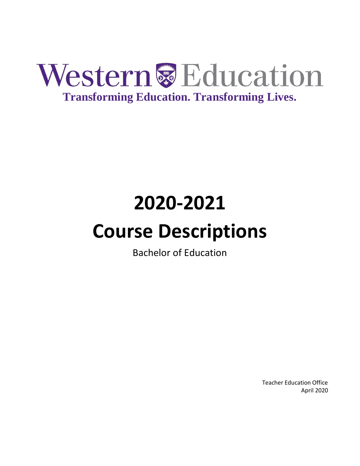

# **2020-2021**

# **Course Descriptions**

Bachelor of Education

Teacher Education Office April 2020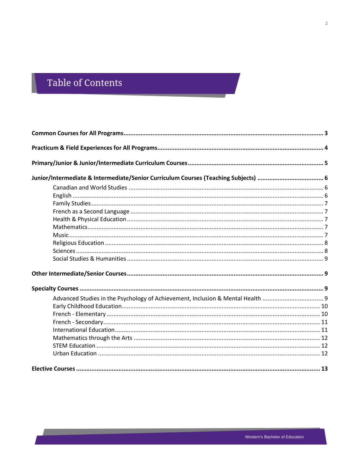# Table of Contents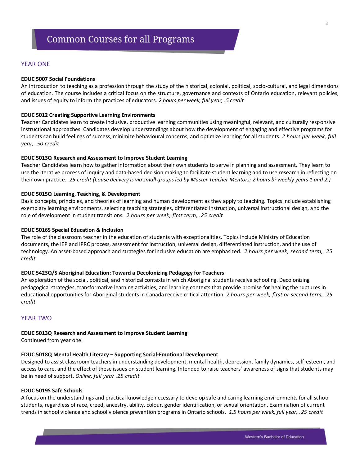#### <span id="page-2-0"></span>**EDUC 5007 Social Foundations**

An introduction to teaching as a profession through the study of the historical, colonial, political, socio-cultural, and legal dimensions of education. The course includes a critical focus on the structure, governance and contexts of Ontario education, relevant policies, and issues of equity to inform the practices of educators. *2 hours per week, full year, .5 credit*

#### **EDUC 5012 Creating Supportive Learning Environments**

Teacher Candidates learn to create inclusive, productive learning communities using meaningful, relevant, and culturally responsive instructional approaches. Candidates develop understandings about how the development of engaging and effective programs for students can build feelings of success, minimize behavioural concerns, and optimize learning for all students. *2 hours per week, full year, .50 credit*

#### **EDUC 5013Q Research and Assessment to Improve Student Learning**

Teacher Candidates learn how to gather information about their own students to serve in planning and assessment. They learn to use the iterative process of inquiry and data-based decision making to facilitate student learning and to use research in reflecting on their own practice. *.25 credit (Couse delivery is via small groups led by Master Teacher Mentors; 2 hours bi-weekly years 1 and 2.)*

#### **EDUC 5015Q Learning, Teaching, & Development**

Basic concepts, principles, and theories of learning and human development as they apply to teaching. Topics include establishing exemplary learning environments, selecting teaching strategies, differentiated instruction, universal instructional design, and the role of development in student transitions. *2 hours per week, first term, .25 credit*

#### **EDUC 5016S Special Education & Inclusion**

The role of the classroom teacher in the education of students with exceptionalities. Topics include Ministry of Education documents, the IEP and IPRC process, assessment for instruction, universal design, differentiated instruction, and the use of technology. An asset-based approach and strategies for inclusive education are emphasized. *2 hours per week, second term, .25 credit*

#### **EDUC 5423Q/S Aboriginal Education: Toward a Decolonizing Pedagogy for Teachers**

An exploration of the social, political, and historical contexts in which Aboriginal students receive schooling. Decolonizing pedagogical strategies, transformative learning activities, and learning contexts that provide promise for healing the ruptures in educational opportunities for Aboriginal students in Canada receive critical attention. *2 hours per week, first or second term, .25 credit*

#### YEAR TWO

#### **EDUC 5013Q Research and Assessment to Improve Student Learning**

Continued from year one.

#### **EDUC 5018Q Mental Health Literacy – Supporting Social-Emotional Development**

Designed to assist classroom teachers in understanding development, mental health, depression, family dynamics, self-esteem, and access to care, and the effect of these issues on student learning. Intended to raise teachers' awareness of signs that students may be in need of support. *Online, full year .25 credit*

#### **EDUC 5019S Safe Schools**

A focus on the understandings and practical knowledge necessary to develop safe and caring learning environments for all school students, regardless of race, creed, ancestry, ability, colour, gender identification, or sexual orientation. Examination of current trends in school violence and school violence prevention programs in Ontario schools*. 1.5 hours per week, full year, .25 credit*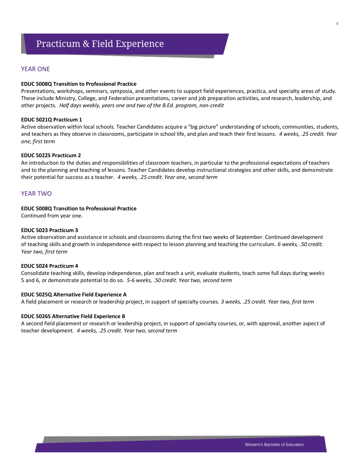#### <span id="page-3-0"></span>**EDUC 5008Q Transition to Professional Practice**

Presentations, workshops, seminars, symposia, and other events to support field experiences, practica, and specialty areas of study. These include Ministry, College, and Federation presentations, career and job preparation activities, and research, leadership, and other projects. *Half days weekly, years one and two of the B.Ed. program, non-credit*

#### **EDUC 5021Q Practicum 1**

Active observation within local schools. Teacher Candidates acquire a "big picture" understanding of schools, communities, students, and teachers as they observe in classrooms, participate in school life, and plan and teach their first lessons. *4 weeks, .25 credit. Year one, first term*

#### **EDUC 5022S Practicum 2**

An introduction to the duties and responsibilities of classroom teachers, in particular to the professional expectations of teachers and to the planning and teaching of lessons. Teacher Candidates develop instructional strategies and other skills, and demonstrate their potential for success as a teacher. *4 weeks, .25 credit. Year one, second term*

#### YEAR TWO

#### **EDUC 5008Q Transition to Professional Practice**

Continued from year one.

#### **EDUC 5023 Practicum 3**

Active observation and assistance in schools and classrooms during the first two weeks of September. Continued development of teaching skills and growth in independence with respect to lesson planning and teaching the curriculum. *6 weeks, .50 credit. Year two, first term*

#### **EDUC 5024 Practicum 4**

Consolidate teaching skills, develop independence, plan and teach a unit, evaluate students, teach some full days during weeks 5 and 6, or demonstrate potential to do so. *5-6 weeks, .50 credit. Year two, second term*

#### **EDUC 5025Q Alternative Field Experience A**

A field placement or research or leadership project, in support of specialty courses. *3 weeks, .25 credit. Year two, first term*

#### **EDUC 5026S Alternative Field Experience B**

A second field placement or research or leadership project, in support of specialty courses, or, with approval, another aspect of teacher development. *4 weeks, .25 credit. Year two, second term*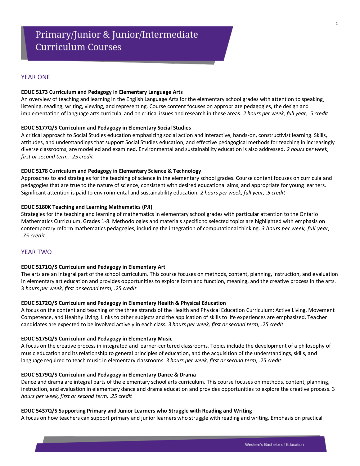#### <span id="page-4-0"></span>**EDUC 5173 Curriculum and Pedagogy in Elementary Language Arts**

An overview of teaching and learning in the English Language Arts for the elementary school grades with attention to speaking, listening, reading, writing, viewing, and representing. Course content focuses on appropriate pedagogies, the design and implementation of language arts curricula, and on critical issues and research in these areas. *2 hours per week, full year, .5 credit* 

#### **EDUC 5177Q/S Curriculum and Pedagogy in Elementary Social Studies**

A critical approach to Social Studies education emphasizing social action and interactive, hands-on, constructivist learning. Skills, attitudes, and understandings that support Social Studies education, and effective pedagogical methods for teaching in increasingly diverse classrooms, are modelled and examined. Environmental and sustainability education is also addressed. *2 hours per week, first or second term, .25 credit*

#### **EDUC 5178 Curriculum and Pedagogy in Elementary Science & Technology**

Approaches to and strategies for the teaching of science in the elementary school grades. Course content focuses on curricula and pedagogies that are true to the nature of science, consistent with desired educational aims, and appropriate for young learners. Significant attention is paid to environmental and sustainability education. *2 hours per week, full year, .5 credit*

#### **EDUC 5180K Teaching and Learning Mathematics (PJI)**

Strategies for the teaching and learning of mathematics in elementary school grades with particular attention to the Ontario Mathematics Curriculum, Grades 1-8. Methodologies and materials specific to selected topics are highlighted with emphasis on contemporary reform mathematics pedagogies, including the integration of computational thinking. *3 hours per week, full year, .75 credit*

# YEAR TWO

#### **EDUC 5171Q/S Curriculum and Pedagogy in Elementary Art**

The arts are an integral part of the school curriculum. This course focuses on methods, content, planning, instruction, and evaluation in elementary art education and provides opportunities to explore form and function, meaning, and the creative process in the arts. 3 *hours per week, first or second term, .25 credit*

#### **EDUC 5172Q/S Curriculum and Pedagogy in Elementary Health & Physical Education**

A focus on the content and teaching of the three strands of the Health and Physical Education Curriculum: Active Living, Movement Competence, and Healthy Living. Links to other subjects and the application of skills to life experiences are emphasized. Teacher candidates are expected to be involved actively in each class. *3 hours per week, first or second term, .25 credit*

#### **EDUC 5175Q/S Curriculum and Pedagogy in Elementary Music**

A focus on the creative process in integrated and learner-centered classrooms. Topics include the development of a philosophy of music education and its relationship to general principles of education, and the acquisition of the understandings, skills, and language required to teach music in elementary classrooms. *3 hours per week, first or second term, .25 credit*

#### **EDUC 5179Q/S Curriculum and Pedagogy in Elementary Dance & Drama**

Dance and drama are integral parts of the elementary school arts curriculum. This course focuses on methods, content, planning, instruction, and evaluation in elementary dance and drama education and provides opportunities to explore the creative process. 3 *hours per week, first or second term, .25 credit*

#### **EDUC 5437Q/S Supporting Primary and Junior Learners who Struggle with Reading and Writing**

A focus on how teachers can support primary and junior learners who struggle with reading and writing. Emphasis on practical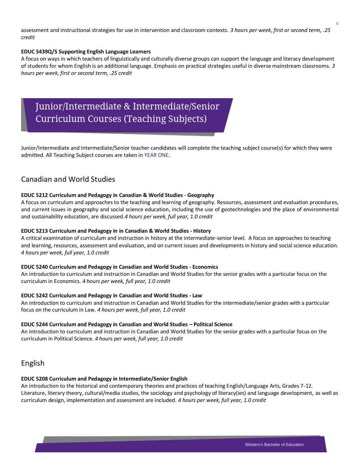assessment and instructional strategies for use in intervention and classroom contexts. *3 hours per week, first or second term, .25 credit*

#### **EDUC 5439Q/S Supporting English Language Learners**

A focus on ways in which teachers of linguistically and culturally diverse groups can support the language and literacy development of students for whom English is an additional language. Emphasis on practical strategies useful in diverse mainstream classrooms. *3 hours per week, first or second term, .25 credit*

# Junior/Intermediate & Intermediate/Senior **Curriculum Courses (Teaching Subjects)**

<span id="page-5-0"></span>Junior/Intermediate and Intermediate/Senior teacher candidates will complete the teaching subject course(s) for which they were admitted. All Teaching Subject courses are taken in YEAR ONE.

# <span id="page-5-1"></span>Canadian and World Studies

#### **EDUC 5212 Curriculum and Pedagogy in Canadian & World Studies - Geography**

A focus on curriculum and approaches to the teaching and learning of geography. Resources, assessment and evaluation procedures, and current issues in geography and social science education, including the use of geotechnologies and the place of environmental and sustainability education, are discussed.*4 hours per week, full year, 1.0 credit*

#### **EDUC 5213 Curriculum and Pedagogy in in Canadian & World Studies - History**

A critical examination of curriculum and instruction in history at the intermediate-senior level. A focus on approaches to teaching and learning, resources, assessment and evaluation, and on current issues and developments in history and social science education. *4 hours per week, full year, 1.0 credit*

#### **EDUC 5240 Curriculum and Pedagogy in Canadian and World Studies - Economics**

An introduction to curriculum and instruction in Canadian and World Studies for the senior grades with a particular focus on the curriculum in Economics. *4 hours per week, full year, 1.0 credit*

#### **EDUC 5242 Curriculum and Pedagogy in Canadian and World Studies - Law**

An introduction to curriculum and instruction in Canadian and World Studies for the intermediate/senior grades with a particular focus on the curriculum in Law. *4 hours per week, full year, 1.0 credit*

#### **EDUC 5244 Curriculum and Pedagogy in Canadian and World Studies – Political Science**

An introduction to curriculum and instruction in Canadian and World Studies for the senior grades with a particular focus on the curriculum in Political Science. *4 hours per week, full year, 1.0 credit*

# <span id="page-5-2"></span>English

#### **EDUC 5208 Curriculum and Pedagogy in Intermediate/Senior English**

An introduction to the historical and contemporary theories and practices of teaching English/Language Arts, Grades 7-12. Literature, literary theory, cultural/media studies, the sociology and psychology of literacy(ies) and language development, as well as curriculum design, implementation and assessment are included. *4 hours per week, full year, 1.0 credit*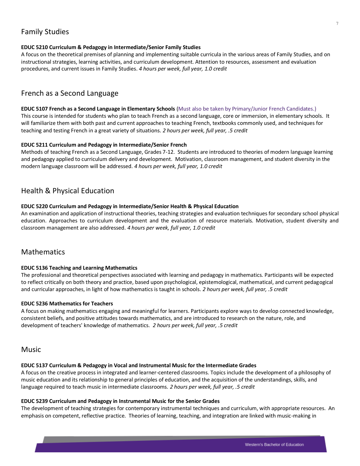# <span id="page-6-0"></span>Family Studies

#### **EDUC 5210 Curriculum & Pedagogy in Intermediate/Senior Family Studies**

A focus on the theoretical premises of planning and implementing suitable curricula in the various areas of Family Studies, and on instructional strategies, learning activities, and curriculum development. Attention to resources, assessment and evaluation procedures, and current issues in Family Studies. *4 hours per week, full year, 1.0 credit*

# <span id="page-6-1"></span>French as a Second Language

#### **EDUC 5107 French as a Second Language in Elementary Schools** (Must also be taken by Primary/Junior French Candidates.)

This course is intended for students who plan to teach French as a second language, core or immersion, in elementary schools. It will familiarize them with both past and current approaches to teaching French, textbooks commonly used, and techniques for teaching and testing French in a great variety of situations. *2 hours per week, full year, .5 credit*

#### **EDUC 5211 Curriculum and Pedagogy in Intermediate/Senior French**

Methods of teaching French as a Second Language, Grades 7-12. Students are introduced to theories of modern language learning and pedagogy applied to curriculum delivery and development. Motivation, classroom management, and student diversity in the modern language classroom will be addressed. *4 hours per week, full year, 1.0 credit*

# <span id="page-6-2"></span>Health & Physical Education

#### **EDUC 5220 Curriculum and Pedagogy in Intermediate/Senior Health & Physical Education**

An examination and application of instructional theories, teaching strategies and evaluation techniques for secondary school physical education. Approaches to curriculum development and the evaluation of resource materials. Motivation, student diversity and classroom management are also addressed. *4 hours per week, full year, 1.0 credit*

# <span id="page-6-3"></span>**Mathematics**

#### **EDUC 5136 Teaching and Learning Mathematics**

The professional and theoretical perspectives associated with learning and pedagogy in mathematics. Participants will be expected to reflect critically on both theory and practice, based upon psychological, epistemological, mathematical, and current pedagogical and curricular approaches, in light of how mathematics is taught in schools. *2 hours per week, full year, .5 credit*

#### **EDUC 5236 Mathematics for Teachers**

A focus on making mathematics engaging and meaningful for learners. Participants explore ways to develop connected knowledge, consistent beliefs, and positive attitudes towards mathematics, and are introduced to research on the nature, role, and development of teachers' knowledge of mathematics. *2 hours per week, full year, .5 credit*

# <span id="page-6-4"></span>Music

#### **EDUC 5137 Curriculum & Pedagogy in Vocal and Instrumental Music for the Intermediate Grades**

A focus on the creative process in integrated and learner-centered classrooms. Topics include the development of a philosophy of music education and its relationship to general principles of education, and the acquisition of the understandings, skills, and language required to teach music in intermediate classrooms. *2 hours per week, full year, .5 credit*

#### **EDUC 5239 Curriculum and Pedagogy in Instrumental Music for the Senior Grades**

The development of teaching strategies for contemporary instrumental techniques and curriculum, with appropriate resources. An emphasis on competent, reflective practice. Theories of learning, teaching, and integration are linked with music-making in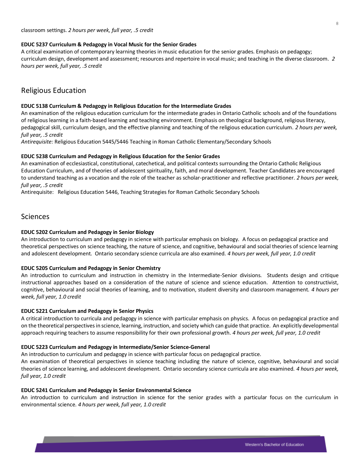#### **EDUC 5237 Curriculum & Pedagogy in Vocal Music for the Senior Grades**

A critical examination of contemporary learning theories in music education for the senior grades. Emphasis on pedagogy; curriculum design, development and assessment; resources and repertoire in vocal music; and teaching in the diverse classroom. *2 hours per week, full year, .5 credit*

# <span id="page-7-0"></span>Religious Education

#### **EDUC 5138 Curriculum & Pedagogy in Religious Education for the Intermediate Grades**

An examination of the religious education curriculum for the intermediate grades in Ontario Catholic schools and of the foundations of religious learning in a faith-based learning and teaching environment. Emphasis on theological background, religious literacy, pedagogical skill, curriculum design, and the effective planning and teaching of the religious education curriculum. *2 hours per week, full year, .5 credit*

*Antirequisite:* Religious Education 5445/5446 Teaching in Roman Catholic Elementary/Secondary Schools

#### **EDUC 5238 Curriculum and Pedagogy in Religious Education for the Senior Grades**

An examination of ecclesiastical, constitutional, catechetical, and political contexts surrounding the Ontario Catholic Religious Education Curriculum, and of theories of adolescent spirituality, faith, and moral development. Teacher Candidates are encouraged to understand teaching as a vocation and the role of the teacher as scholar-practitioner and reflective practitioner. *2 hours per week, full year, .5 credit*

Antirequisite: Religious Education 5446, Teaching Strategies for Roman Catholic Secondary Schools

# <span id="page-7-1"></span>Sciences

#### **EDUC 5202 Curriculum and Pedagogy in Senior Biology**

An introduction to curriculum and pedagogy in science with particular emphasis on biology. A focus on pedagogical practice and theoretical perspectives on science teaching, the nature of science, and cognitive, behavioural and social theories of science learning and adolescent development. Ontario secondary science curricula are also examined. *4 hours per week, full year, 1.0 credit*

#### **EDUC 5205 Curriculum and Pedagogy in Senior Chemistry**

An introduction to curriculum and instruction in chemistry in the Intermediate-Senior divisions. Students design and critique instructional approaches based on a consideration of the nature of science and science education. Attention to constructivist, cognitive, behavioural and social theories of learning, and to motivation, student diversity and classroom management. *4 hours per week, full year, 1.0 credit*

#### **EDUC 5221 Curriculum and Pedagogy in Senior Physics**

A critical introduction to curricula and pedagogy in science with particular emphasis on physics. A focus on pedagogical practice and on the theoretical perspectives in science, learning, instruction, and society which can guide that practice. An explicitly developmental approach requiring teachers to assume responsibility for their own professional growth. *4 hours per week, full year, 1.0 credit*

#### **EDUC 5223 Curriculum and Pedagogy in Intermediate/Senior Science-General**

An introduction to curriculum and pedagogy in science with particular focus on pedagogical practice.

An examination of theoretical perspectives in science teaching including the nature of science, cognitive, behavioural and social theories of science learning, and adolescent development. Ontario secondary science curricula are also examined. *4 hours per week, full year, 1.0 credit*

#### **EDUC 5241 Curriculum and Pedagogy in Senior Environmental Science**

An introduction to curriculum and instruction in science for the senior grades with a particular focus on the curriculum in environmental science. *4 hours per week, full year, 1.0 credit*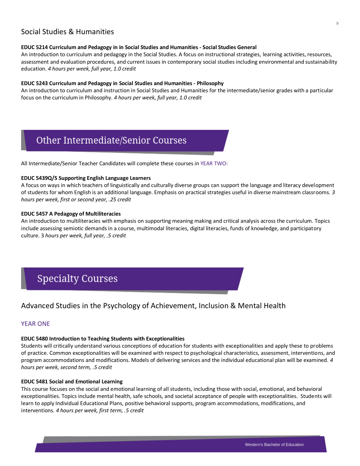# <span id="page-8-0"></span>Social Studies & Humanities

#### **EDUC 5214 Curriculum and Pedagogy in in Social Studies and Humanities - Social Studies General**

An introduction to curriculum and pedagogy in the Social Studies. A focus on instructional strategies, learning activities, resources, assessment and evaluation procedures, and current issues in contemporary social studies including environmental and sustainability education. *4 hours per week, full year, 1.0 credit*

#### **EDUC 5243 Curriculum and Pedagogy in Social Studies and Humanities - Philosophy**

An introduction to curriculum and instruction in Social Studies and Humanities for the intermediate/senior grades with a particular focus on the curriculum in Philosophy. *4 hours per week, full year, 1.0 credit*

# **Other Intermediate/Senior Courses**

<span id="page-8-1"></span>All Intermediate/Senior Teacher Candidates will complete these courses in YEAR TWO:

#### **EDUC 5439Q/S Supporting English Language Learners**

A focus on ways in which teachers of linguistically and culturally diverse groups can support the language and literacy development of students for whom English is an additional language. Emphasis on practical strategies useful in diverse mainstream classrooms. *3 hours per week, first or second year, .25 credit*

#### **EDUC 5457 A Pedagogy of Multiliteracies**

An introduction to multiliteracies with emphasis on supporting meaning making and critical analysis across the curriculum. Topics include assessing semiotic demands in a course, multimodal literacies, digital literacies, funds of knowledge, and participatory culture. 3 *hours per week, full year, .5 credit*

# **Specialty Courses**

# <span id="page-8-3"></span><span id="page-8-2"></span>Advanced Studies in the Psychology of Achievement, Inclusion & Mental Health

# YEAR ONE

#### **EDUC 5480 Introduction to Teaching Students with Exceptionalities**

Students will critically understand various conceptions of education for students with exceptionalities and apply these to problems of practice. Common exceptionalities will be examined with respect to psychological characteristics, assessment, interventions, and program accommodations and modifications. Models of delivering services and the individual educational plan will be examined. *4 hours per week, second term, .5 credit* 

#### **EDUC 5481 Social and Emotional Learning**

This course focuses on the social and emotional learning of all students, including those with social, emotional, and behavioral exceptionalities. Topics include mental health, safe schools, and societal acceptance of people with exceptionalities. Students will learn to apply Individual Educational Plans, positive behavioral supports, program accommodations, modifications, and interventions. *4 hours per week, first term, .5 credit*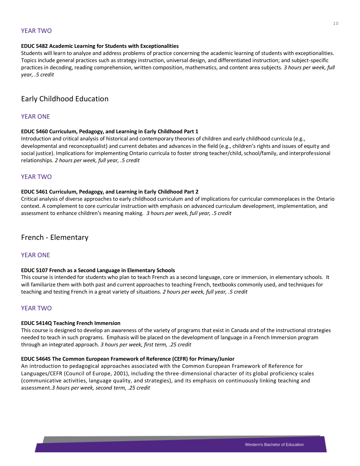# YEAR TWO

#### **EDUC 5482 Academic Learning for Students with Exceptionalities**

Students will learn to analyze and address problems of practice concerning the academic learning of students with exceptionalities. Topics include general practices such as strategy instruction, universal design, and differentiated instruction; and subject-specific practices in decoding, reading comprehension, written composition, mathematics, and content area subjects*. 3 hours per week, full year, .5 credit*

# <span id="page-9-0"></span>Early Childhood Education

# YEAR ONE

#### **EDUC 5460 Curriculum, Pedagogy, and Learning in Early Childhood Part 1**

Introduction and critical analysis of historical and contemporary theories of children and early childhood curricula (e.g., developmental and reconceptualist) and current debates and advances in the field (e.g., children's rights and issues of equity and social justice). Implications for implementing Ontario curricula to foster strong teacher/child, school/family, and interprofessional relationships. *2 hours per week, full year, .5 credit*

## YEAR TWO

#### **EDUC 5461 Curriculum, Pedagogy, and Learning in Early Childhood Part 2**

Critical analysis of diverse approaches to early childhood curriculum and of implications for curricular commonplaces in the Ontario context. A complement to core curricular instruction with emphasis on advanced curriculum development, implementation, and assessment to enhance children's meaning making*. 3 hours per week, full year, .5 credit*

# <span id="page-9-1"></span>French - Elementary

#### YEAR ONE

#### **EDUC 5107 French as a Second Language in Elementary Schools**

This course is intended for students who plan to teach French as a second language, core or immersion, in elementary schools. It will familiarize them with both past and current approaches to teaching French, textbooks commonly used, and techniques for teaching and testing French in a great variety of situations. *2 hours per week, full year, .5 credit*

# YEAR TWO

#### **EDUC 5414Q Teaching French Immersion**

This course is designed to develop an awareness of the variety of programs that exist in Canada and of the instructional strategies needed to teach in such programs. Emphasis will be placed on the development of language in a French Immersion program through an integrated approach*. 3 hours per week, first term, .25 credit*

#### **EDUC 5464S The Common European Framework of Reference (CEFR) for Primary/Junior**

An introduction to pedagogical approaches associated with the Common European Framework of Reference for Languages/CEFR (Council of Europe, 2001), including the three-dimensional character of its global proficiency scales (communicative activities, language quality, and strategies), and its emphasis on continuously linking teaching and assessment.*3 hours per week, second term, .25 credit*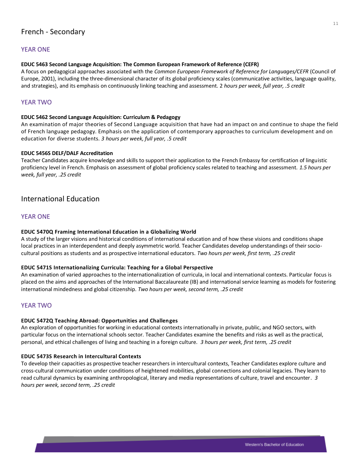#### <span id="page-10-0"></span>**EDUC 5463 Second Language Acquisition: The Common European Framework of Reference (CEFR)**

A focus on pedagogical approaches associated with the *Common European Framework of Reference for Languages/CEFR* (Council of Europe, 2001), including the three-dimensional character of its global proficiency scales (communicative activities, language quality, and strategies), and its emphasis on continuously linking teaching and assessment. 2 *hours per week, full year, .5 credit*

# YEAR TWO

#### **EDUC 5462 Second Language Acquisition: Curriculum & Pedagogy**

An examination of major theories of Second Language acquisition that have had an impact on and continue to shape the field of French language pedagogy. Emphasis on the application of contemporary approaches to curriculum development and on education for diverse students*. 3 hours per week, full year, .5 credit*

#### **EDUC 5456S DELF/DALF Accreditation**

Teacher Candidates acquire knowledge and skills to support their application to the French Embassy for certification of linguistic proficiency level in French. Emphasis on assessment of global proficiency scales related to teaching and assessment. *1.5 hours per week, full year, .25 credit*

# <span id="page-10-1"></span>International Education

## YEAR ONE

#### **EDUC 5470Q Framing International Education in a Globalizing World**

A study of the larger visions and historical conditions of international education and of how these visions and conditions shape local practices in an interdependent and deeply asymmetric world. Teacher Candidates develop understandings of their sociocultural positions as students and as prospective international educators. *Two hours per week, first term, .25 credit*

#### **EDUC 5471S Internationalizing Curricula: Teaching for a Global Perspective**

An examination of varied approaches to the internationalization of curricula, in local and international contexts. Particular focus is placed on the aims and approaches of the International Baccalaureate (IB) and international service learning as models for fostering international mindedness and global citizenship. *Two hours per week, second term, .25 credit*

# YEAR TWO

#### **EDUC 5472Q Teaching Abroad: Opportunities and Challenges**

An exploration of opportunities for working in educational contexts internationally in private, public, and NGO sectors, with particular focus on the international schools sector. Teacher Candidates examine the benefits and risks as well as the practical, personal, and ethical challenges of living and teaching in a foreign culture. *3 hours per week, first term, .25 credit*

#### **EDUC 5473S Research in Intercultural Contexts**

To develop their capacities as prospective teacher researchers in intercultural contexts, Teacher Candidates explore culture and cross-cultural communication under conditions of heightened mobilities, global connections and colonial legacies. They learn to read cultural dynamics by examining anthropological, literary and media representations of culture, travel and encounter. *3 hours per week, second term, .25 credit*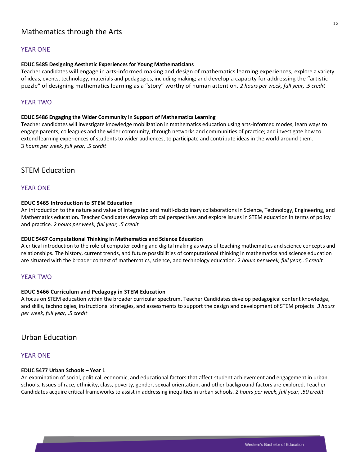# <span id="page-11-0"></span>Mathematics through the Arts

#### YEAR ONE

#### **EDUC 5485 Designing Aesthetic Experiences for Young Mathematicians**

Teacher candidates will engage in arts-informed making and design of mathematics learning experiences; explore a variety of ideas, events, technology, materials and pedagogies, including making; and develop a capacity for addressing the "artistic puzzle" of designing mathematics learning as a "story" worthy of human attention. *2 hours per week, full year, .5 credit*

#### YEAR TWO

#### **EDUC 5486 Engaging the Wider Community in Support of Mathematics Learning**

Teacher candidates will investigate knowledge mobilization in mathematics education using arts-informed modes; learn ways to engage parents, colleagues and the wider community, through networks and communities of practice; and investigate how to extend learning experiences of students to wider audiences, to participate and contribute ideas in the world around them. 3 *hours per week, full year, .5 credit*

# <span id="page-11-1"></span>STEM Education

#### YEAR ONE

#### **EDUC 5465 Introduction to STEM Education**

An introduction to the nature and value of integrated and multi-disciplinary collaborations in Science, Technology, Engineering, and Mathematics education. Teacher Candidates develop critical perspectives and explore issues in STEM education in terms of policy and practice. *2 hours per week, full year, .5 credit*

#### **EDUC 5467 Computational Thinking in Mathematics and Science Education**

A critical introduction to the role of computer coding and digital making as ways of teaching mathematics and science concepts and relationships. The history, current trends, and future possibilities of computational thinking in mathematics and science education are situated with the broader context of mathematics, science, and technology education. 2 *hours per week, full year, .5 credit*

#### YEAR TWO

#### **EDUC 5466 Curriculum and Pedagogy in STEM Education**

A focus on STEM education within the broader curricular spectrum. Teacher Candidates develop pedagogical content knowledge, and skills, technologies, instructional strategies, and assessments to support the design and development of STEM projects. *3 hours per week, full year, .5 credit*

# <span id="page-11-2"></span>Urban Education

#### YEAR ONE

#### **EDUC 5477 Urban Schools – Year 1**

An examination of social, political, economic, and educational factors that affect student achievement and engagement in urban schools. Issues of race, ethnicity, class, poverty, gender, sexual orientation, and other background factors are explored. Teacher Candidates acquire critical frameworks to assist in addressing inequities in urban schools. *2 hours per week, full year, .50 credit*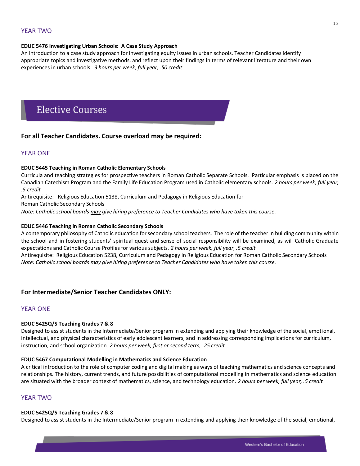# YEAR TWO

#### **EDUC 5476 Investigating Urban Schools: A Case Study Approach**

An introduction to a case study approach for investigating equity issues in urban schools. Teacher Candidates identify appropriate topics and investigative methods, and reflect upon their findings in terms of relevant literature and their own experiences in urban schools. *3 hours per week, full year, .50 credit*

# **Elective Courses**

## <span id="page-12-0"></span>**For all Teacher Candidates. Course overload may be required:**

## YEAR ONE

#### **EDUC 5445 Teaching in Roman Catholic Elementary Schools**

Curricula and teaching strategies for prospective teachers in Roman Catholic Separate Schools. Particular emphasis is placed on the Canadian Catechism Program and the Family Life Education Program used in Catholic elementary schools. *2 hours per week, full year, .5 credit*

Antirequisite: Religious Education 5138, Curriculum and Pedagogy in Religious Education for

Roman Catholic Secondary Schools

*Note: Catholic school boards may give hiring preference to Teacher Candidates who have taken this course.* 

#### **EDUC 5446 Teaching in Roman Catholic Secondary Schools**

A contemporary philosophy of Catholic education for secondary school teachers. The role of the teacher in building community within the school and in fostering students' spiritual quest and sense of social responsibility will be examined, as will Catholic Graduate expectations and Catholic Course Profiles for various subjects. *2 hours per week, full year, .5 credit*

Antirequisite: Religious Education 5238, Curriculum and Pedagogy in Religious Education for Roman Catholic Secondary Schools *Note: Catholic school boards may give hiring preference to Teacher Candidates who have taken this course.*

#### **For Intermediate/Senior Teacher Candidates ONLY:**

#### YEAR ONE

#### **EDUC 5425Q/S Teaching Grades 7 & 8**

Designed to assist students in the Intermediate/Senior program in extending and applying their knowledge of the social, emotional, intellectual, and physical characteristics of early adolescent learners, and in addressing corresponding implications for curriculum, instruction, and school organization. *2 hours per week, first or second term, .25 credit*

#### **EDUC 5467 Computational Modelling in Mathematics and Science Education**

A critical introduction to the role of computer coding and digital making as ways of teaching mathematics and science concepts and relationships. The history, current trends, and future possibilities of computational modelling in mathematics and science education are situated with the broader context of mathematics, science, and technology education. *2 hours per week, full year, .5 credit*

# YEAR TWO

#### **EDUC 5425Q/S Teaching Grades 7 & 8**

Designed to assist students in the Intermediate/Senior program in extending and applying their knowledge of the social, emotional,